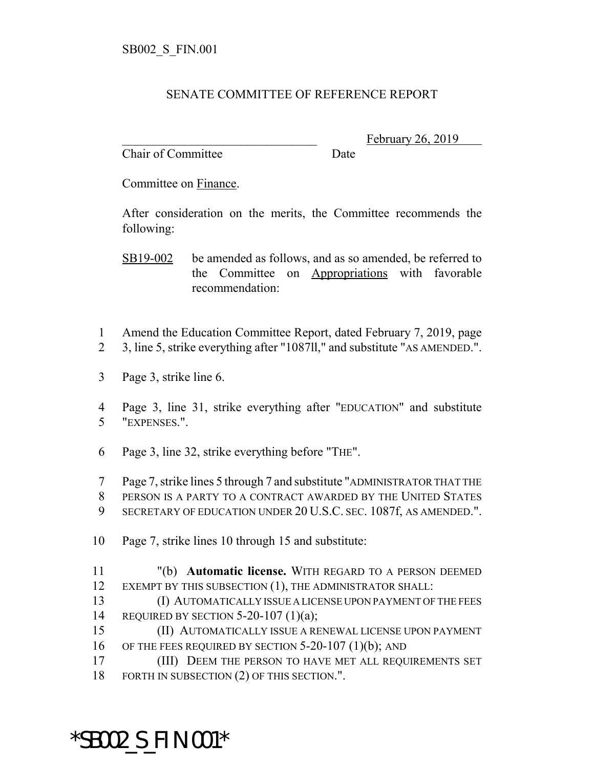## SENATE COMMITTEE OF REFERENCE REPORT

Chair of Committee Date

February 26, 2019

Committee on Finance.

After consideration on the merits, the Committee recommends the following:

SB19-002 be amended as follows, and as so amended, be referred to the Committee on Appropriations with favorable recommendation:

- 1 Amend the Education Committee Report, dated February 7, 2019, page
- 2 3, line 5, strike everything after "1087ll," and substitute "AS AMENDED.".
- 3 Page 3, strike line 6.
- 4 Page 3, line 31, strike everything after "EDUCATION" and substitute 5 "EXPENSES.".
- 6 Page 3, line 32, strike everything before "THE".

7 Page 7, strike lines 5 through 7 and substitute "ADMINISTRATOR THAT THE

- 8 PERSON IS A PARTY TO A CONTRACT AWARDED BY THE UNITED STATES
- 9 SECRETARY OF EDUCATION UNDER 20 U.S.C. SEC. 1087f, AS AMENDED.".
- 10 Page 7, strike lines 10 through 15 and substitute:
- 11 "(b) **Automatic license.** WITH REGARD TO A PERSON DEEMED 12 EXEMPT BY THIS SUBSECTION (1), THE ADMINISTRATOR SHALL:
- 13 (I) AUTOMATICALLY ISSUE A LICENSE UPON PAYMENT OF THE FEES 14 REQUIRED BY SECTION 5-20-107 (1)(a);
- 15 (II) AUTOMATICALLY ISSUE A RENEWAL LICENSE UPON PAYMENT 16 OF THE FEES REQUIRED BY SECTION 5-20-107 (1)(b); AND
- 17 (III) DEEM THE PERSON TO HAVE MET ALL REQUIREMENTS SET 18 FORTH IN SUBSECTION (2) OF THIS SECTION.".

## \*SB002\_S\_FIN.001\*